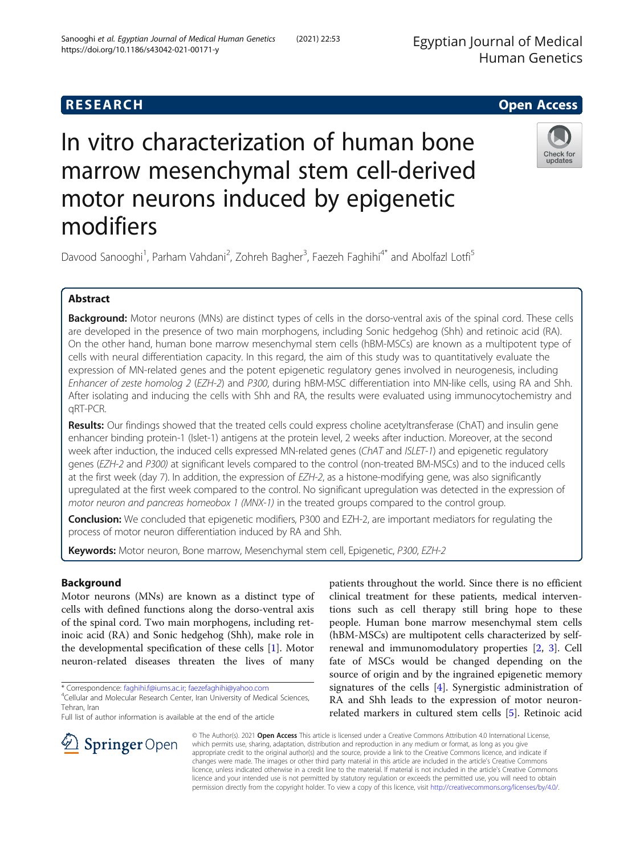Egyptian Journal of Medical Human Genetics

# **RESEARCH CHE Open Access**

# In vitro characterization of human bone marrow mesenchymal stem cell-derived motor neurons induced by epigenetic modifiers



## Abstract

Background: Motor neurons (MNs) are distinct types of cells in the dorso-ventral axis of the spinal cord. These cells are developed in the presence of two main morphogens, including Sonic hedgehog (Shh) and retinoic acid (RA). On the other hand, human bone marrow mesenchymal stem cells (hBM-MSCs) are known as a multipotent type of cells with neural differentiation capacity. In this regard, the aim of this study was to quantitatively evaluate the expression of MN-related genes and the potent epigenetic regulatory genes involved in neurogenesis, including Enhancer of zeste homolog 2 (EZH-2) and P300, during hBM-MSC differentiation into MN-like cells, using RA and Shh. After isolating and inducing the cells with Shh and RA, the results were evaluated using immunocytochemistry and qRT-PCR.

Results: Our findings showed that the treated cells could express choline acetyltransferase (ChAT) and insulin gene enhancer binding protein-1 (Islet-1) antigens at the protein level, 2 weeks after induction. Moreover, at the second week after induction, the induced cells expressed MN-related genes (ChAT and ISLET-1) and epigenetic regulatory genes (EZH-2 and P300) at significant levels compared to the control (non-treated BM-MSCs) and to the induced cells at the first week (day 7). In addition, the expression of EZH-2, as a histone-modifying gene, was also significantly upregulated at the first week compared to the control. No significant upregulation was detected in the expression of motor neuron and pancreas homeobox 1 (MNX-1) in the treated groups compared to the control group.

Conclusion: We concluded that epigenetic modifiers, P300 and EZH-2, are important mediators for regulating the process of motor neuron differentiation induced by RA and Shh.

Keywords: Motor neuron, Bone marrow, Mesenchymal stem cell, Epigenetic, P300, EZH-2

## Background

Motor neurons (MNs) are known as a distinct type of cells with defined functions along the dorso-ventral axis of the spinal cord. Two main morphogens, including retinoic acid (RA) and Sonic hedgehog (Shh), make role in the developmental specification of these cells [[1\]](#page-6-0). Motor neuron-related diseases threaten the lives of many

\* Correspondence: [faghihi.f@iums.ac.ir;](mailto:faghihi.f@iums.ac.ir) [faezefaghihi@yahoo.com](mailto:faezefaghihi@yahoo.com) <sup>4</sup> Cellular and Molecular Research Center, Iran University of Medical Sciences, Tehran, Iran

Full list of author information is available at the end of the article

patients throughout the world. Since there is no efficient clinical treatment for these patients, medical interventions such as cell therapy still bring hope to these people. Human bone marrow mesenchymal stem cells (hBM-MSCs) are multipotent cells characterized by selfrenewal and immunomodulatory properties [[2,](#page-6-0) [3\]](#page-6-0). Cell fate of MSCs would be changed depending on the source of origin and by the ingrained epigenetic memory signatures of the cells [\[4](#page-6-0)]. Synergistic administration of RA and Shh leads to the expression of motor neuronrelated markers in cultured stem cells [[5\]](#page-6-0). Retinoic acid

© The Author(s). 2021 Open Access This article is licensed under a Creative Commons Attribution 4.0 International License, which permits use, sharing, adaptation, distribution and reproduction in any medium or format, as long as you give appropriate credit to the original author(s) and the source, provide a link to the Creative Commons licence, and indicate if changes were made. The images or other third party material in this article are included in the article's Creative Commons licence, unless indicated otherwise in a credit line to the material. If material is not included in the article's Creative Commons licence and your intended use is not permitted by statutory regulation or exceeds the permitted use, you will need to obtain permission directly from the copyright holder. To view a copy of this licence, visit <http://creativecommons.org/licenses/by/4.0/>.



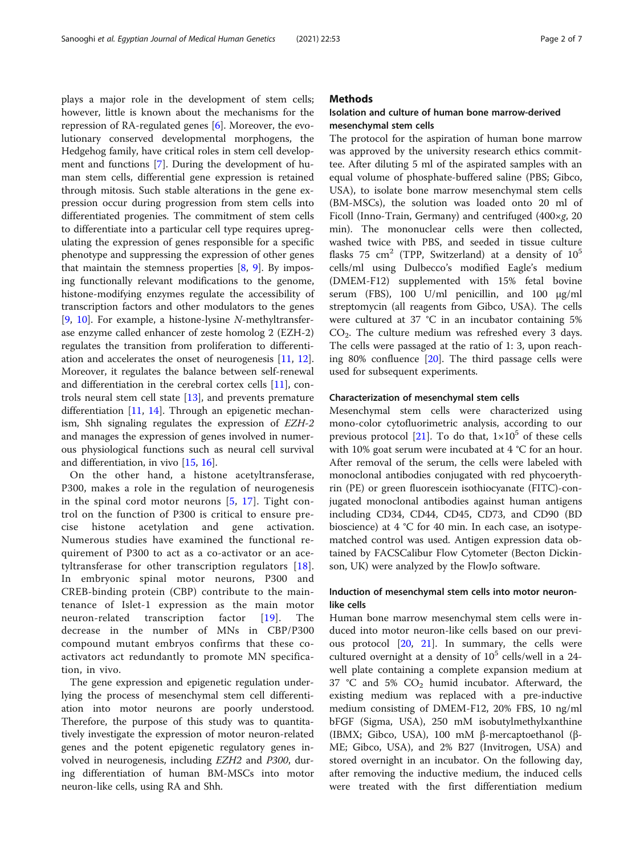plays a major role in the development of stem cells; however, little is known about the mechanisms for the repression of RA-regulated genes [[6\]](#page-6-0). Moreover, the evolutionary conserved developmental morphogens, the Hedgehog family, have critical roles in stem cell development and functions [\[7](#page-6-0)]. During the development of human stem cells, differential gene expression is retained through mitosis. Such stable alterations in the gene expression occur during progression from stem cells into differentiated progenies. The commitment of stem cells to differentiate into a particular cell type requires upregulating the expression of genes responsible for a specific phenotype and suppressing the expression of other genes that maintain the stemness properties  $[8, 9]$  $[8, 9]$  $[8, 9]$  $[8, 9]$ . By imposing functionally relevant modifications to the genome, histone-modifying enzymes regulate the accessibility of transcription factors and other modulators to the genes [[9,](#page-6-0) [10\]](#page-6-0). For example, a histone-lysine N-methyltransferase enzyme called enhancer of zeste homolog 2 (EZH-2) regulates the transition from proliferation to differentiation and accelerates the onset of neurogenesis [[11,](#page-6-0) [12](#page-6-0)]. Moreover, it regulates the balance between self-renewal and differentiation in the cerebral cortex cells [\[11](#page-6-0)], controls neural stem cell state  $[13]$  $[13]$ , and prevents premature differentiation [\[11](#page-6-0), [14](#page-6-0)]. Through an epigenetic mechanism, Shh signaling regulates the expression of EZH-2 and manages the expression of genes involved in numerous physiological functions such as neural cell survival and differentiation, in vivo [\[15](#page-6-0), [16\]](#page-6-0).

On the other hand, a histone acetyltransferase, P300, makes a role in the regulation of neurogenesis in the spinal cord motor neurons [[5](#page-6-0), [17](#page-6-0)]. Tight control on the function of P300 is critical to ensure precise histone acetylation and gene activation. Numerous studies have examined the functional requirement of P300 to act as a co-activator or an acetyltransferase for other transcription regulators [[18](#page-6-0)]. In embryonic spinal motor neurons, P300 and CREB-binding protein (CBP) contribute to the maintenance of Islet-1 expression as the main motor neuron-related transcription factor [\[19](#page-6-0)]. The decrease in the number of MNs in CBP/P300 compound mutant embryos confirms that these coactivators act redundantly to promote MN specification, in vivo.

The gene expression and epigenetic regulation underlying the process of mesenchymal stem cell differentiation into motor neurons are poorly understood. Therefore, the purpose of this study was to quantitatively investigate the expression of motor neuron-related genes and the potent epigenetic regulatory genes involved in neurogenesis, including EZH2 and P300, during differentiation of human BM-MSCs into motor neuron-like cells, using RA and Shh.

#### **Methods**

#### Isolation and culture of human bone marrow-derived mesenchymal stem cells

The protocol for the aspiration of human bone marrow was approved by the university research ethics committee. After diluting 5 ml of the aspirated samples with an equal volume of phosphate-buffered saline (PBS; Gibco, USA), to isolate bone marrow mesenchymal stem cells (BM-MSCs), the solution was loaded onto 20 ml of Ficoll (Inno-Train, Germany) and centrifuged (400×g, 20 min). The mononuclear cells were then collected, washed twice with PBS, and seeded in tissue culture flasks 75 cm<sup>2</sup> (TPP, Switzerland) at a density of  $10^5$ cells/ml using Dulbecco's modified Eagle's medium (DMEM-F12) supplemented with 15% fetal bovine serum (FBS), 100 U/ml penicillin, and 100 μg/ml streptomycin (all reagents from Gibco, USA). The cells were cultured at 37 °C in an incubator containing 5%  $CO<sub>2</sub>$ . The culture medium was refreshed every 3 days. The cells were passaged at the ratio of 1: 3, upon reaching 80% confluence [[20\]](#page-6-0). The third passage cells were used for subsequent experiments.

#### Characterization of mesenchymal stem cells

Mesenchymal stem cells were characterized using mono-color cytofluorimetric analysis, according to our previous protocol [[21\]](#page-6-0). To do that,  $1\times10^5$  of these cells with 10% goat serum were incubated at 4 °C for an hour. After removal of the serum, the cells were labeled with monoclonal antibodies conjugated with red phycoerythrin (PE) or green fluorescein isothiocyanate (FITC)-conjugated monoclonal antibodies against human antigens including CD34, CD44, CD45, CD73, and CD90 (BD bioscience) at 4 °C for 40 min. In each case, an isotypematched control was used. Antigen expression data obtained by FACSCalibur Flow Cytometer (Becton Dickinson, UK) were analyzed by the FlowJo software.

#### Induction of mesenchymal stem cells into motor neuronlike cells

Human bone marrow mesenchymal stem cells were induced into motor neuron-like cells based on our previous protocol [[20](#page-6-0), [21](#page-6-0)]. In summary, the cells were cultured overnight at a density of  $10<sup>5</sup>$  cells/well in a 24well plate containing a complete expansion medium at 37 °C and 5%  $CO<sub>2</sub>$  humid incubator. Afterward, the existing medium was replaced with a pre-inductive medium consisting of DMEM-F12, 20% FBS, 10 ng/ml bFGF (Sigma, USA), 250 mM isobutylmethylxanthine (IBMX; Gibco, USA), 100 mM β-mercaptoethanol (β-ME; Gibco, USA), and 2% B27 (Invitrogen, USA) and stored overnight in an incubator. On the following day, after removing the inductive medium, the induced cells were treated with the first differentiation medium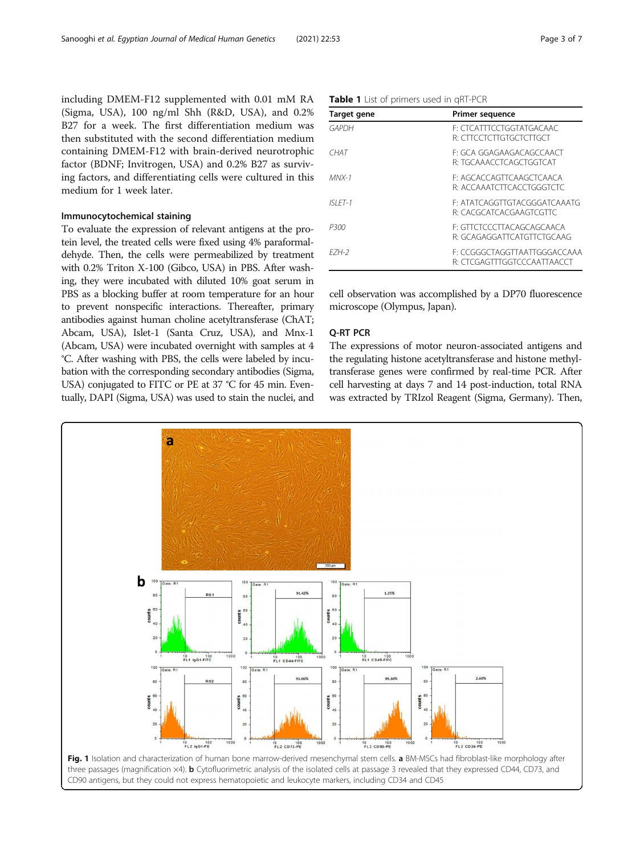<span id="page-2-0"></span>including DMEM-F12 supplemented with 0.01 mM RA (Sigma, USA), 100 ng/ml Shh (R&D, USA), and 0.2% B27 for a week. The first differentiation medium was then substituted with the second differentiation medium containing DMEM-F12 with brain-derived neurotrophic factor (BDNF; Invitrogen, USA) and 0.2% B27 as surviving factors, and differentiating cells were cultured in this medium for 1 week later.

#### Immunocytochemical staining

To evaluate the expression of relevant antigens at the protein level, the treated cells were fixed using 4% paraformaldehyde. Then, the cells were permeabilized by treatment with 0.2% Triton X-100 (Gibco, USA) in PBS. After washing, they were incubated with diluted 10% goat serum in PBS as a blocking buffer at room temperature for an hour to prevent nonspecific interactions. Thereafter, primary antibodies against human choline acetyltransferase (ChAT; Abcam, USA), Islet-1 (Santa Cruz, USA), and Mnx-1 (Abcam, USA) were incubated overnight with samples at 4 °C. After washing with PBS, the cells were labeled by incubation with the corresponding secondary antibodies (Sigma, USA) conjugated to FITC or PE at 37 °C for 45 min. Eventually, DAPI (Sigma, USA) was used to stain the nuclei, and

Table 1 List of primers used in qRT-PCR

| Target gene | <b>Primer sequence</b>                                      |
|-------------|-------------------------------------------------------------|
| GAPDH       | F' CTCATTTCCTGGTATGACAAC<br>R' CITCCICITGIGCICITGCI         |
| CHAT        | F: GCA GGAGAAGACAGCCAACT<br>R: TGCAAACCTCAGCTGGTCAT         |
| $MN - 1$    | E: AGCACCAGTTCAAGCTCAACA<br>R. ACCAAATCTTCACCTGGGTCTC       |
| $ISI FT-1$  | E: ATATCAGGTTGTACGGGATCAAATG<br>R: CACGCATCACGAAGTCGTTC     |
| P300        | E: GTTCTCCCTTACAGCAGCAACA<br>R: GCAGAGGATTCATGTTCTGCAAG     |
| F7H-2       | F: CCGGGCTAGGTTAATTGGGACCAAA<br>R: CTCGAGTTTGGTCCCAATTAACCT |

cell observation was accomplished by a DP70 fluorescence microscope (Olympus, Japan).

#### Q-RT PCR

The expressions of motor neuron-associated antigens and the regulating histone acetyltransferase and histone methyltransferase genes were confirmed by real-time PCR. After cell harvesting at days 7 and 14 post-induction, total RNA was extracted by TRIzol Reagent (Sigma, Germany). Then,

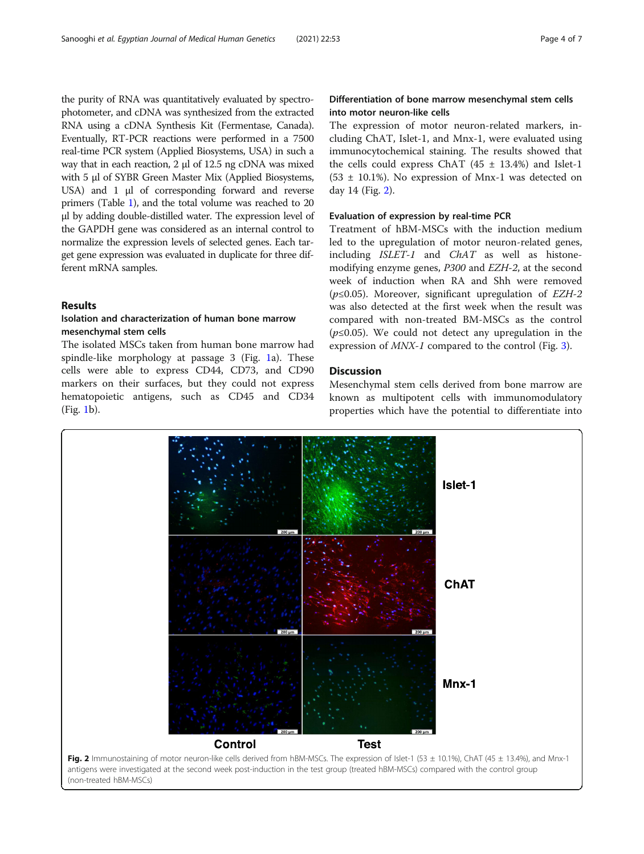the purity of RNA was quantitatively evaluated by spectrophotometer, and cDNA was synthesized from the extracted RNA using a cDNA Synthesis Kit (Fermentase, Canada). Eventually, RT-PCR reactions were performed in a 7500 real-time PCR system (Applied Biosystems, USA) in such a way that in each reaction, 2 μl of 12.5 ng cDNA was mixed with 5 μl of SYBR Green Master Mix (Applied Biosystems, USA) and 1 μl of corresponding forward and reverse primers (Table [1](#page-2-0)), and the total volume was reached to 20 μl by adding double-distilled water. The expression level of the GAPDH gene was considered as an internal control to normalize the expression levels of selected genes. Each target gene expression was evaluated in duplicate for three different mRNA samples.

#### Results

#### Isolation and characterization of human bone marrow mesenchymal stem cells

The isolated MSCs taken from human bone marrow had spindle-like morphology at passage 3 (Fig. [1](#page-2-0)a). These cells were able to express CD44, CD73, and CD90 markers on their surfaces, but they could not express hematopoietic antigens, such as CD45 and CD34 (Fig. [1](#page-2-0)b).

#### Differentiation of bone marrow mesenchymal stem cells into motor neuron-like cells

The expression of motor neuron-related markers, including ChAT, Islet-1, and Mnx-1, were evaluated using immunocytochemical staining. The results showed that the cells could express ChAT  $(45 \pm 13.4%)$  and Islet-1  $(53 \pm 10.1\%)$ . No expression of Mnx-1 was detected on day 14 (Fig. 2).

#### Evaluation of expression by real-time PCR

Treatment of hBM-MSCs with the induction medium led to the upregulation of motor neuron-related genes, including ISLET-1 and ChAT as well as histonemodifying enzyme genes, P300 and EZH-2, at the second week of induction when RA and Shh were removed ( $p \le 0.05$ ). Moreover, significant upregulation of EZH-2 was also detected at the first week when the result was compared with non-treated BM-MSCs as the control  $(p \le 0.05)$ . We could not detect any upregulation in the expression of MNX-1 compared to the control (Fig. [3\)](#page-4-0).

## Discussion

Mesenchymal stem cells derived from bone marrow are known as multipotent cells with immunomodulatory properties which have the potential to differentiate into

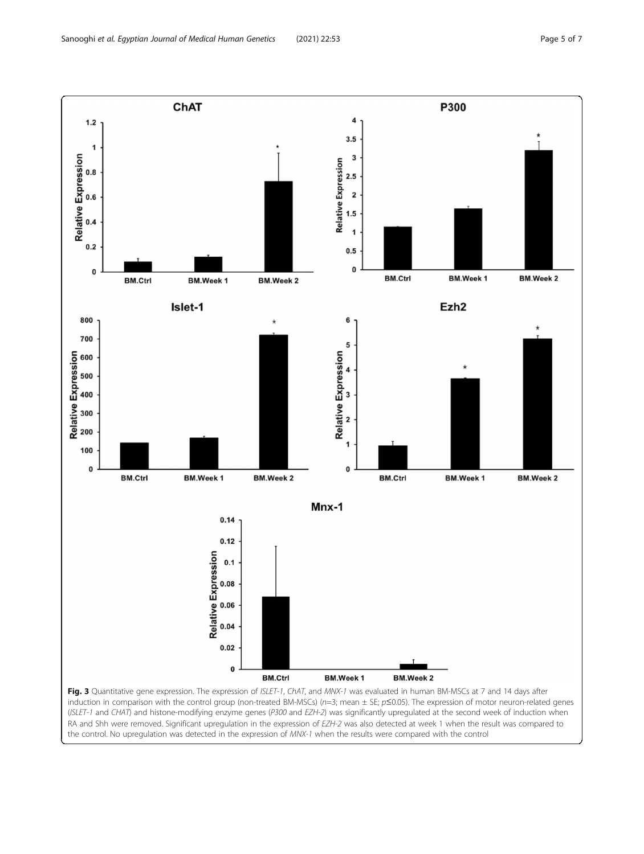<span id="page-4-0"></span>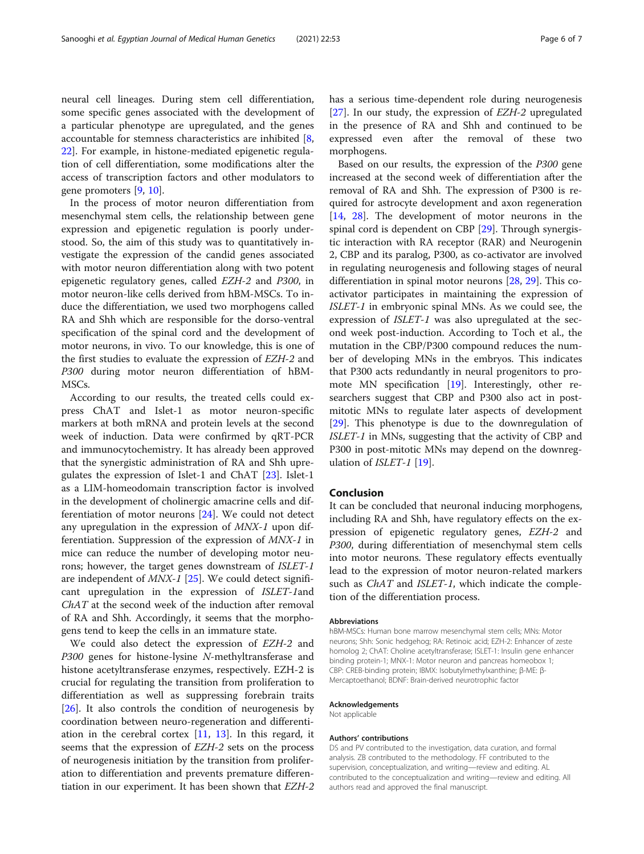neural cell lineages. During stem cell differentiation, some specific genes associated with the development of a particular phenotype are upregulated, and the genes accountable for stemness characteristics are inhibited [\[8](#page-6-0), [22\]](#page-6-0). For example, in histone-mediated epigenetic regulation of cell differentiation, some modifications alter the access of transcription factors and other modulators to gene promoters [[9,](#page-6-0) [10\]](#page-6-0).

In the process of motor neuron differentiation from mesenchymal stem cells, the relationship between gene expression and epigenetic regulation is poorly understood. So, the aim of this study was to quantitatively investigate the expression of the candid genes associated with motor neuron differentiation along with two potent epigenetic regulatory genes, called EZH-2 and P300, in motor neuron-like cells derived from hBM-MSCs. To induce the differentiation, we used two morphogens called RA and Shh which are responsible for the dorso-ventral specification of the spinal cord and the development of motor neurons, in vivo. To our knowledge, this is one of the first studies to evaluate the expression of EZH-2 and P300 during motor neuron differentiation of hBM-MSCs.

According to our results, the treated cells could express ChAT and Islet-1 as motor neuron-specific markers at both mRNA and protein levels at the second week of induction. Data were confirmed by qRT-PCR and immunocytochemistry. It has already been approved that the synergistic administration of RA and Shh upregulates the expression of Islet-1 and ChAT [[23\]](#page-6-0). Islet-1 as a LIM-homeodomain transcription factor is involved in the development of cholinergic amacrine cells and differentiation of motor neurons [[24](#page-6-0)]. We could not detect any upregulation in the expression of MNX-1 upon differentiation. Suppression of the expression of MNX-1 in mice can reduce the number of developing motor neurons; however, the target genes downstream of ISLET-1 are independent of  $MNX-1$  [[25\]](#page-6-0). We could detect significant upregulation in the expression of ISLET-1and ChAT at the second week of the induction after removal of RA and Shh. Accordingly, it seems that the morphogens tend to keep the cells in an immature state.

We could also detect the expression of EZH-2 and P300 genes for histone-lysine N-methyltransferase and histone acetyltransferase enzymes, respectively. EZH-2 is crucial for regulating the transition from proliferation to differentiation as well as suppressing forebrain traits [[26\]](#page-6-0). It also controls the condition of neurogenesis by coordination between neuro-regeneration and differentiation in the cerebral cortex [[11,](#page-6-0) [13](#page-6-0)]. In this regard, it seems that the expression of EZH-2 sets on the process of neurogenesis initiation by the transition from proliferation to differentiation and prevents premature differentiation in our experiment. It has been shown that EZH-2 has a serious time-dependent role during neurogenesis [[27\]](#page-6-0). In our study, the expression of EZH-2 upregulated in the presence of RA and Shh and continued to be expressed even after the removal of these two morphogens.

Based on our results, the expression of the P300 gene increased at the second week of differentiation after the removal of RA and Shh. The expression of P300 is required for astrocyte development and axon regeneration [[14,](#page-6-0) [28\]](#page-6-0). The development of motor neurons in the spinal cord is dependent on CBP [\[29](#page-6-0)]. Through synergistic interaction with RA receptor (RAR) and Neurogenin 2, CBP and its paralog, P300, as co-activator are involved in regulating neurogenesis and following stages of neural differentiation in spinal motor neurons [\[28,](#page-6-0) [29\]](#page-6-0). This coactivator participates in maintaining the expression of ISLET-1 in embryonic spinal MNs. As we could see, the expression of ISLET-1 was also upregulated at the second week post-induction. According to Toch et al., the mutation in the CBP/P300 compound reduces the number of developing MNs in the embryos. This indicates that P300 acts redundantly in neural progenitors to promote MN specification [[19](#page-6-0)]. Interestingly, other researchers suggest that CBP and P300 also act in postmitotic MNs to regulate later aspects of development [[29\]](#page-6-0). This phenotype is due to the downregulation of ISLET-1 in MNs, suggesting that the activity of CBP and P300 in post-mitotic MNs may depend on the downregulation of *ISLET-1* [[19](#page-6-0)].

#### Conclusion

It can be concluded that neuronal inducing morphogens, including RA and Shh, have regulatory effects on the expression of epigenetic regulatory genes, EZH-2 and P300, during differentiation of mesenchymal stem cells into motor neurons. These regulatory effects eventually lead to the expression of motor neuron-related markers such as *ChAT* and *ISLET-1*, which indicate the completion of the differentiation process.

#### Abbreviations

hBM-MSCs: Human bone marrow mesenchymal stem cells; MNs: Motor neurons; Shh: Sonic hedgehog; RA: Retinoic acid; EZH-2: Enhancer of zeste homolog 2; ChAT: Choline acetyltransferase; ISLET-1: Insulin gene enhancer binding protein-1; MNX-1: Motor neuron and pancreas homeobox 1; CBP: CREB-binding protein; IBMX: Isobutylmethylxanthine; β-ME: β-Mercaptoethanol; BDNF: Brain-derived neurotrophic factor

#### Acknowledgements

Not applicable

#### Authors' contributions

DS and PV contributed to the investigation, data curation, and formal analysis. ZB contributed to the methodology. FF contributed to the supervision, conceptualization, and writing—review and editing. AL contributed to the conceptualization and writing—review and editing. All authors read and approved the final manuscript.